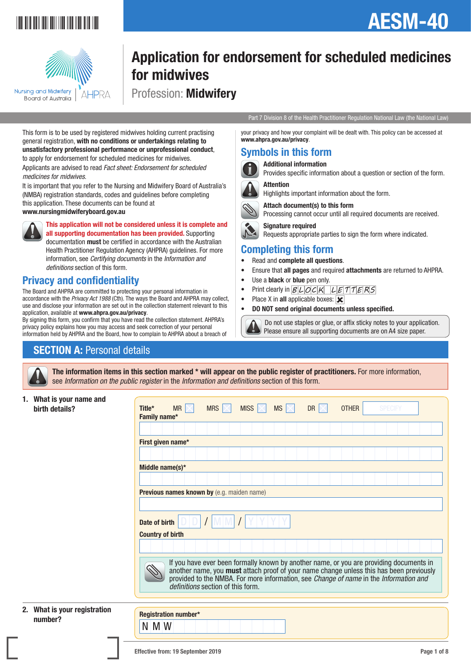



# Application for endorsement for scheduled medicines for midwives

Profession: Midwifery

Part 7 Division 8 of the Health Practitioner Regulation National Law (the National Law)

This form is to be used by registered midwives holding current practising general registration, with no conditions or undertakings relating to unsatisfactory professional performance or unprofessional conduct, to apply for endorsement for scheduled medicines for midwives.

Applicants are advised to read *Fact sheet: Endorsement for scheduled medicines for midwives*.

It is important that you refer to the Nursing and Midwifery Board of Australia's (NMBA) registration standards, codes and guidelines before completing this application. These documents can be found at www.nursingmidwiferyboard.gov.au



This application will not be considered unless it is complete and all supporting documentation has been provided. Supporting documentation must be certified in accordance with the Australian

Health Practitioner Regulation Agency (AHPRA) guidelines. For more information, see *Certifying documents* in the *Information and definitions* section of this form.

## Privacy and confidentiality

The Board and AHPRA are committed to protecting your personal information in accordance with the *Privacy Act 1988* (Cth). The ways the Board and AHPRA may collect, use and disclose your information are set out in the collection statement relevant to this application, available at www.ahpra.gov.au/privacy.

By signing this form, you confirm that you have read the collection statement. AHPRA's privacy policy explains how you may access and seek correction of your personal information held by AHPRA and the Board, how to complain to AHPRA about a breach of your privacy and how your complaint will be dealt with. This policy can be accessed at www.ahpra.gov.au/privacy.

# Symbols in this form



 Additional information Provides specific information about a question or section of the form.



Highlights important information about the form.

Attach document(s) to this form

Processing cannot occur until all required documents are received.



Signature required

Requests appropriate parties to sign the form where indicated.

### Completing this form

- Read and complete all questions.
- Ensure that all pages and required attachments are returned to AHPRA.
- Use a **black** or **blue** pen only.
- Print clearly in  $BLOCK$   $LETTERS$
- Place X in all applicable boxes:  $\mathbf{\times}$
- DO NOT send original documents unless specified.



# **SECTION A: Personal details**



The information items in this section marked \* will appear on the public register of practitioners. For more information, see *Information on the public register* in the *Information and definitions* section of this form.

1. What is your name and

| What is your name and<br>birth details? | MRS $\times$<br>$MR \times$<br>MISS $ \times $<br>$MS \times$<br><b>OTHER</b><br><b>SPECIFY</b><br>Title*<br>DR $\times$<br>Family name*                                                                                                                                                                         |
|-----------------------------------------|------------------------------------------------------------------------------------------------------------------------------------------------------------------------------------------------------------------------------------------------------------------------------------------------------------------|
|                                         |                                                                                                                                                                                                                                                                                                                  |
|                                         | First given name*                                                                                                                                                                                                                                                                                                |
|                                         |                                                                                                                                                                                                                                                                                                                  |
|                                         | Middle name(s)*                                                                                                                                                                                                                                                                                                  |
|                                         |                                                                                                                                                                                                                                                                                                                  |
|                                         | <b>Previous names known by</b> (e.g. maiden name)                                                                                                                                                                                                                                                                |
|                                         |                                                                                                                                                                                                                                                                                                                  |
|                                         | Date of birth                                                                                                                                                                                                                                                                                                    |
|                                         | <b>Country of birth</b>                                                                                                                                                                                                                                                                                          |
|                                         |                                                                                                                                                                                                                                                                                                                  |
|                                         | If you have ever been formally known by another name, or you are providing documents in<br>another name, you must attach proof of your name change unless this has been previously<br>provided to the NMBA. For more information, see Change of name in the Information and<br>definitions section of this form. |
| What is your registration               | Desigheather wouldnot                                                                                                                                                                                                                                                                                            |

#### 2. What is your registrati number? Registration number

N M W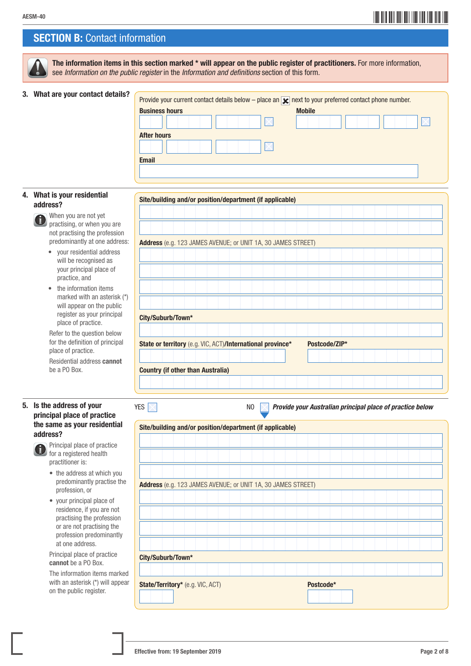# \*AESM-402\* AESM-40

# **SECTION B: Contact information**

The information items in this section marked \* will appear on the public register of practitioners. For more information, see *Information on the public register* in the *Information and definitions* section of this form.

Site/building and/or position/department (if applicable)

### 3. What are your contact details?

| <b>Business hours</b> | <b>Mobile</b> |
|-----------------------|---------------|
|                       |               |
| <b>After hours</b>    |               |
|                       |               |
| <b>Email</b>          |               |

#### 4. What is your residential address?



- your residential address will be recognised as your principal place of practice, and
- the information items marked with an asterisk (\*) will appear on the public register as your principal place of practice.

 Refer to the question below for the definition of principal place of practice.

 Residential address cannot be a PO Box.

#### 5. Is the address of your principal place of practice the same as your residential address?



 Principal place of practice for a registered health practitioner is:

- the address at which you predominantly practise the profession, or
- your principal place of residence, if you are not practising the profession or are not practising the profession predominantly at one address.

Principal place of practice cannot be a PO Box.

 The information items marked with an asterisk (\*) will appear on the public register.

| Address (e.g. 123 JAMES AVENUE; or UNIT 1A, 30 JAMES STREET) |  |  |  |  |  |  |               |  |  |  |  |  |  |
|--------------------------------------------------------------|--|--|--|--|--|--|---------------|--|--|--|--|--|--|
|                                                              |  |  |  |  |  |  |               |  |  |  |  |  |  |
|                                                              |  |  |  |  |  |  |               |  |  |  |  |  |  |
|                                                              |  |  |  |  |  |  |               |  |  |  |  |  |  |
|                                                              |  |  |  |  |  |  |               |  |  |  |  |  |  |
|                                                              |  |  |  |  |  |  |               |  |  |  |  |  |  |
| City/Suburb/Town*                                            |  |  |  |  |  |  |               |  |  |  |  |  |  |
|                                                              |  |  |  |  |  |  |               |  |  |  |  |  |  |
| State or territory (e.g. VIC, ACT)/International province*   |  |  |  |  |  |  | Postcode/ZIP* |  |  |  |  |  |  |
|                                                              |  |  |  |  |  |  |               |  |  |  |  |  |  |
| <b>Country (if other than Australia)</b>                     |  |  |  |  |  |  |               |  |  |  |  |  |  |
|                                                              |  |  |  |  |  |  |               |  |  |  |  |  |  |

YES **NO** *Provide your Australian principal place of practice below* **Provide your Australian principal place of practice below** 

| Site/building and/or position/department (if applicable)     |  |  |  |  |  |  |  |  |  |  |  |  |  |  |  |  |  |  |  |
|--------------------------------------------------------------|--|--|--|--|--|--|--|--|--|--|--|--|--|--|--|--|--|--|--|
|                                                              |  |  |  |  |  |  |  |  |  |  |  |  |  |  |  |  |  |  |  |
|                                                              |  |  |  |  |  |  |  |  |  |  |  |  |  |  |  |  |  |  |  |
|                                                              |  |  |  |  |  |  |  |  |  |  |  |  |  |  |  |  |  |  |  |
| Address (e.g. 123 JAMES AVENUE; or UNIT 1A, 30 JAMES STREET) |  |  |  |  |  |  |  |  |  |  |  |  |  |  |  |  |  |  |  |
|                                                              |  |  |  |  |  |  |  |  |  |  |  |  |  |  |  |  |  |  |  |
|                                                              |  |  |  |  |  |  |  |  |  |  |  |  |  |  |  |  |  |  |  |
|                                                              |  |  |  |  |  |  |  |  |  |  |  |  |  |  |  |  |  |  |  |
|                                                              |  |  |  |  |  |  |  |  |  |  |  |  |  |  |  |  |  |  |  |
| City/Suburb/Town*                                            |  |  |  |  |  |  |  |  |  |  |  |  |  |  |  |  |  |  |  |
|                                                              |  |  |  |  |  |  |  |  |  |  |  |  |  |  |  |  |  |  |  |
| State/Territory* (e.g. VIC, ACT)<br>Postcode*                |  |  |  |  |  |  |  |  |  |  |  |  |  |  |  |  |  |  |  |
|                                                              |  |  |  |  |  |  |  |  |  |  |  |  |  |  |  |  |  |  |  |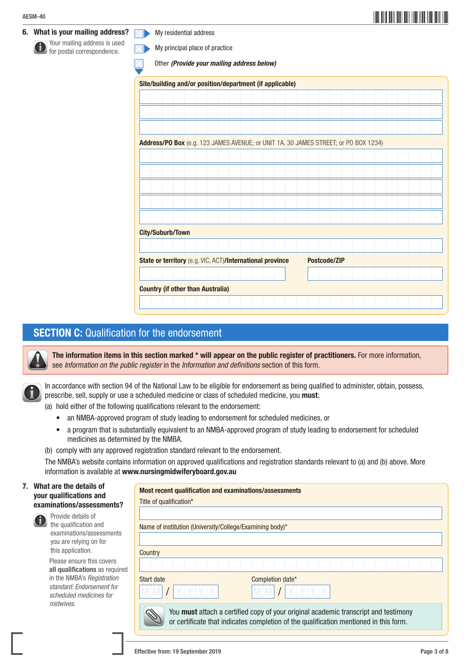### 6. What is your mailing address?

 Your mailing address is used for postal correspondence.

| My residential address |  |
|------------------------|--|
|------------------------|--|

 $\boxtimes$ 

My principal place of practice

Other *(Provide your mailing address below)*

| Site/building and/or position/department (if applicable)                            |  |  |  |  |  |              |  |  |  |  |  |  |
|-------------------------------------------------------------------------------------|--|--|--|--|--|--------------|--|--|--|--|--|--|
|                                                                                     |  |  |  |  |  |              |  |  |  |  |  |  |
|                                                                                     |  |  |  |  |  |              |  |  |  |  |  |  |
|                                                                                     |  |  |  |  |  |              |  |  |  |  |  |  |
|                                                                                     |  |  |  |  |  |              |  |  |  |  |  |  |
| Address/PO Box (e.g. 123 JAMES AVENUE; or UNIT 1A, 30 JAMES STREET; or PO BOX 1234) |  |  |  |  |  |              |  |  |  |  |  |  |
|                                                                                     |  |  |  |  |  |              |  |  |  |  |  |  |
|                                                                                     |  |  |  |  |  |              |  |  |  |  |  |  |
|                                                                                     |  |  |  |  |  |              |  |  |  |  |  |  |
|                                                                                     |  |  |  |  |  |              |  |  |  |  |  |  |
|                                                                                     |  |  |  |  |  |              |  |  |  |  |  |  |
|                                                                                     |  |  |  |  |  |              |  |  |  |  |  |  |
|                                                                                     |  |  |  |  |  |              |  |  |  |  |  |  |
|                                                                                     |  |  |  |  |  |              |  |  |  |  |  |  |
| <b>City/Suburb/Town</b>                                                             |  |  |  |  |  |              |  |  |  |  |  |  |
|                                                                                     |  |  |  |  |  |              |  |  |  |  |  |  |
|                                                                                     |  |  |  |  |  |              |  |  |  |  |  |  |
| State or territory (e.g. VIC, ACT)/International province                           |  |  |  |  |  | Postcode/ZIP |  |  |  |  |  |  |
|                                                                                     |  |  |  |  |  |              |  |  |  |  |  |  |
|                                                                                     |  |  |  |  |  |              |  |  |  |  |  |  |
| <b>Country (if other than Australia)</b>                                            |  |  |  |  |  |              |  |  |  |  |  |  |
|                                                                                     |  |  |  |  |  |              |  |  |  |  |  |  |

### **SECTION C:** Qualification for the endorsement

The information items in this section marked \* will appear on the public register of practitioners. For more information, see *Information on the public register* in the *Information and definitions* section of this form.

In accordance with section 94 of the National Law to be eligible for endorsement as being qualified to administer, obtain, possess, prescribe, sell, supply or use a scheduled medicine or class of scheduled medicine, you must:

(a) hold either of the following qualifications relevant to the endorsement:

- an NMBA-approved program of study leading to endorsement for scheduled medicines, or
- a program that is substantially equivalent to an NMBA-approved program of study leading to endorsement for scheduled medicines as determined by the NMBA.
- (b) comply with any approved registration standard relevant to the endorsement.

The NMBA's website contains information on approved qualifications and registration standards relevant to (a) and (b) above. More information is available at www.nursingmidwiferyboard.gov.au

#### 7. What are the details of your qualifications and examinations/assessments?

 Provide details of the qualification and examinations/assessments you are relying on for this application.

Please ensure this covers all qualifications as required in the NMBA's *Registration standard: Endorsement for scheduled medicines for midwives.*

| Most recent qualification and examinations/assessments   |                                                                                                                                                                                     |
|----------------------------------------------------------|-------------------------------------------------------------------------------------------------------------------------------------------------------------------------------------|
| Title of qualification*                                  |                                                                                                                                                                                     |
| Name of institution (University/College/Examining body)* |                                                                                                                                                                                     |
|                                                          |                                                                                                                                                                                     |
| Country                                                  |                                                                                                                                                                                     |
|                                                          |                                                                                                                                                                                     |
| Start date                                               | Completion date*                                                                                                                                                                    |
|                                                          | You <b>must</b> attach a certified copy of your original academic transcript and testimony<br>or certificate that indicates completion of the qualification mentioned in this form. |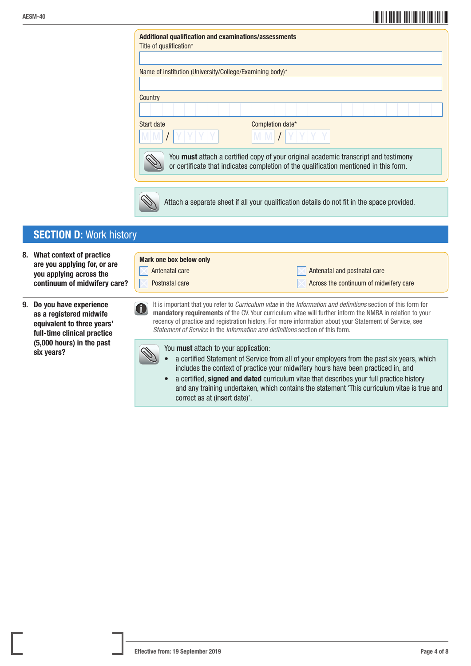six years?

# \*AESM-404\* AESM-40

|                                                                                                                                                | <b>Additional qualification and examinations/assessments</b><br>Title of qualification*                                                                                                                                                                                                                                                                                                                                                             |
|------------------------------------------------------------------------------------------------------------------------------------------------|-----------------------------------------------------------------------------------------------------------------------------------------------------------------------------------------------------------------------------------------------------------------------------------------------------------------------------------------------------------------------------------------------------------------------------------------------------|
|                                                                                                                                                | Name of institution (University/College/Examining body)*                                                                                                                                                                                                                                                                                                                                                                                            |
|                                                                                                                                                | Country                                                                                                                                                                                                                                                                                                                                                                                                                                             |
|                                                                                                                                                | Start date<br>Completion date*                                                                                                                                                                                                                                                                                                                                                                                                                      |
|                                                                                                                                                | You must attach a certified copy of your original academic transcript and testimony<br>or certificate that indicates completion of the qualification mentioned in this form.                                                                                                                                                                                                                                                                        |
|                                                                                                                                                | Attach a separate sheet if all your qualification details do not fit in the space provided.                                                                                                                                                                                                                                                                                                                                                         |
| <b>SECTION D: Work history</b>                                                                                                                 |                                                                                                                                                                                                                                                                                                                                                                                                                                                     |
| 8. What context of practice<br>are you applying for, or are<br>you applying across the<br>continuum of midwifery care?                         | <b>Mark one box below only</b><br>Antenatal care<br>Antenatal and postnatal care<br><b>Postnatal care</b><br>Across the continuum of midwifery care                                                                                                                                                                                                                                                                                                 |
| 9. Do you have experience<br>as a registered midwife<br>equivalent to three years'<br>full-time clinical practice<br>(5,000 hours) in the past | It is important that you refer to <i>Curriculum vitae</i> in the <i>Information and definitions</i> section of this form for<br>$\bigoplus$<br>mandatory requirements of the CV. Your curriculum vitae will further inform the NMBA in relation to your<br>recency of practice and registration history. For more information about your Statement of Service, see<br>Statement of Service in the Information and definitions section of this form. |

You **must** attach to your application:

- a certified Statement of Service from all of your employers from the past six years, which includes the context of practice your midwifery hours have been practiced in, and
- a certified, signed and dated curriculum vitae that describes your full practice history and any training undertaken, which contains the statement 'This curriculum vitae is true and correct as at (insert date)'.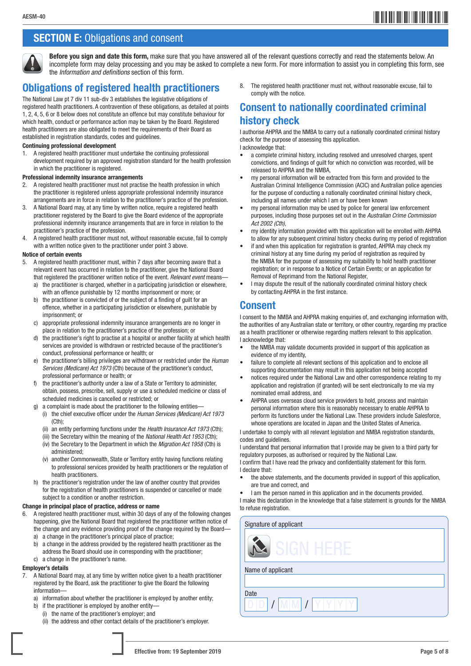## **SECTION E: Obligations and consent**



Before you sign and date this form, make sure that you have answered all of the relevant questions correctly and read the statements below. An incomplete form may delay processing and you may be asked to complete a new form. For more information to assist you in completing this form, see the *Information and definitions* section of this form.

# Obligations of registered health practitioners

The National Law pt 7 div 11 sub-div 3 establishes the legislative obligations of registered health practitioners. A contravention of these obligations, as detailed at points 1, 2, 4, 5, 6 or 8 below does not constitute an offence but may constitute behaviour for which health, conduct or performance action may be taken by the Board. Registered health practitioners are also obligated to meet the requirements of their Board as established in registration standards, codes and guidelines.

#### Continuing professional development

1. A registered health practitioner must undertake the continuing professional development required by an approved registration standard for the health profession in which the practitioner is registered.

#### Professional indemnity insurance arrangements

- 2. A registered health practitioner must not practise the health profession in which the practitioner is registered unless appropriate professional indemnity insurance arrangements are in force in relation to the practitioner's practice of the profession.
- 3. A National Board may, at any time by written notice, require a registered health practitioner registered by the Board to give the Board evidence of the appropriate professional indemnity insurance arrangements that are in force in relation to the practitioner's practice of the profession.
- 4. A registered health practitioner must not, without reasonable excuse, fail to comply with a written notice given to the practitioner under point 3 above.

#### Notice of certain events

- 5. A registered health practitioner must, within 7 days after becoming aware that a relevant event has occurred in relation to the practitioner, give the National Board that registered the practitioner written notice of the event. *Relevant event* means
	- a) the practitioner is charged, whether in a participating jurisdiction or elsewhere, with an offence punishable by 12 months imprisonment or more; or
	- b) the practitioner is convicted of or the subject of a finding of guilt for an offence, whether in a participating jurisdiction or elsewhere, punishable by imprisonment; or
	- c) appropriate professional indemnity insurance arrangements are no longer in place in relation to the practitioner's practice of the profession; or
	- d) the practitioner's right to practise at a hospital or another facility at which health services are provided is withdrawn or restricted because of the practitioner's conduct, professional performance or health; or
	- e) the practitioner's billing privileges are withdrawn or restricted under the *Human Services (Medicare) Act 1973* (Cth) because of the practitioner's conduct, professional performance or health; or
	- f) the practitioner's authority under a law of a State or Territory to administer, obtain, possess, prescribe, sell, supply or use a scheduled medicine or class of scheduled medicines is cancelled or restricted; or

g) a complaint is made about the practitioner to the following entities—

- (i) the chief executive officer under the *Human Services (Medicare) Act 1973* (Cth);
- (ii) an entity performing functions under the *Health Insurance Act 1973* (Cth);
- (iii) the Secretary within the meaning of the *National Health Act 1953* (Cth);
- (iv) the Secretary to the Department in which the *Migration Act 1958* (Cth) is administered;
- (v) another Commonwealth, State or Territory entity having functions relating to professional services provided by health practitioners or the regulation of health practitioners.
- h) the practitioner's registration under the law of another country that provides for the registration of health practitioners is suspended or cancelled or made subject to a condition or another restriction.

#### Change in principal place of practice, address or name

- 6. A registered health practitioner must, within 30 days of any of the following changes happening, give the National Board that registered the practitioner written notice of the change and any evidence providing proof of the change required by the Board
	- a) a change in the practitioner's principal place of practice; b) a change in the address provided by the registered health practitioner as the
		- address the Board should use in corresponding with the practitioner;
	- c) a change in the practitioner's name.

#### Employer's details

- 7. A National Board may, at any time by written notice given to a health practitioner registered by the Board, ask the practitioner to give the Board the following information
	- a) information about whether the practitioner is employed by another entity;
	- b) if the practitioner is employed by another entity—
		- (i) the name of the practitioner's employer; and
		- (ii) the address and other contact details of the practitioner's employer.

8. The registered health practitioner must not, without reasonable excuse, fail to comply with the notice.

### Consent to nationally coordinated criminal history check

I authorise AHPRA and the NMBA to carry out a nationally coordinated criminal history check for the purpose of assessing this application.

I acknowledge that:

- a complete criminal history, including resolved and unresolved charges, spent convictions, and findings of guilt for which no conviction was recorded, will be released to AHPRA and the NMBA,
- my personal information will be extracted from this form and provided to the Australian Criminal Intelligence Commission (ACIC) and Australian police agencies for the purpose of conducting a nationally coordinated criminal history check, including all names under which I am or have been known
- my personal information may be used by police for general law enforcement purposes, including those purposes set out in the *Australian Crime Commission Act 2002 (Cth)*,
- my identity information provided with this application will be enrolled with AHPRA to allow for any subsequent criminal history checks during my period of registration
- if and when this application for registration is granted, AHPRA may check my criminal history at any time during my period of registration as required by the NMBA for the purpose of assessing my suitability to hold health practitioner registration; or in response to a Notice of Certain Events; or an application for Removal of Reprimand from the National Register,
- I may dispute the result of the nationally coordinated criminal history check by contacting AHPRA in the first instance.

### Consent

I consent to the NMBA and AHPRA making enquiries of, and exchanging information with, the authorities of any Australian state or territory, or other country, regarding my practice as a health practitioner or otherwise regarding matters relevant to this application. I acknowledge that:

- the NMBA may validate documents provided in support of this application as evidence of my identity,
- failure to complete all relevant sections of this application and to enclose all supporting documentation may result in this application not being accepted
- notices required under the National Law and other correspondence relating to my application and registration (if granted) will be sent electronically to me via my nominated email address, and
- AHPRA uses overseas cloud service providers to hold, process and maintain personal information where this is reasonably necessary to enable AHPRA to perform its functions under the National Law. These providers include Salesforce, whose operations are located in Japan and the United States of America.

I undertake to comply with all relevant legislation and NMBA registration standards, codes and guidelines.

I understand that personal information that I provide may be given to a third party for regulatory purposes, as authorised or required by the National Law.

I confirm that I have read the privacy and confidentiality statement for this form. I declare that:

- the above statements, and the documents provided in support of this application, are true and correct, and
- I am the person named in this application and in the documents provided.

I make this declaration in the knowledge that a false statement is grounds for the NMBA to refuse registration.

| Signature of applicant |
|------------------------|
| silgiv fit             |
| Name of applicant      |
|                        |
| Date<br>NЛ             |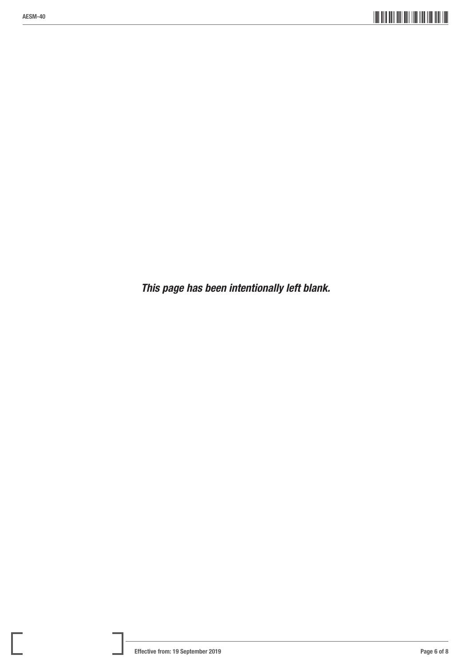*This page has been intentionally left blank.*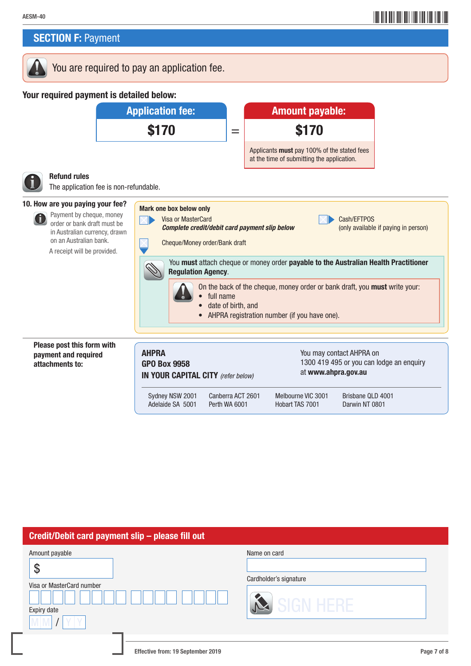## **SECTION F: Payment**

You are required to pay an application fee.

### Your required payment is detailed below:



Adelaide SA 5001 Perth WA 6001 Hobart TAS 7001 Darwin NT 0801

### Credit/Debit card payment slip – please fill out

| Amount payable<br>\$<br>Visa or MasterCard number<br>Expiry date | Name on card<br>Cardholder's signature<br>SIGN HERE |
|------------------------------------------------------------------|-----------------------------------------------------|
| Effective from: 19 September 2019                                | Page 7 of 8                                         |